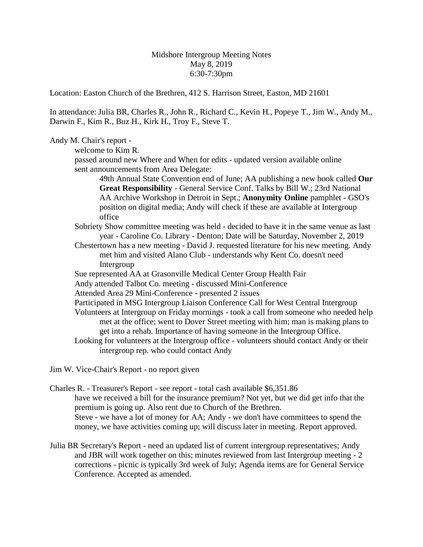Midshore Intergroup Meeting Notes May 8, 2019 6:30-7:30pm

Location: Easton Church of the Brethren, 412 S. Harrison Street, Easton, MD 21601

In attendance: Julia BR, Charles R., John R., Richard C., Kevin H., Popeye T., Jim W., Andy M., Darwin F., Kim R., Buz H., Kirk H., Troy F., Steve T.

## Andy M. Chair's report -

welcome to Kim R.

passed around new Where and When for edits - updated version available online sent announcements from Area Delegate:

49th Annual State Convention end of June; AA publishing a new book called **Our Great Responsibility** - General Service Conf. Talks by Bill W.; 23rd National AA Archive Workshop in Detroit in Sept.; **Anonymity Online** pamphlet - GSO's position on digital media; Andy will check if these are available at Intergroup office

- Sobriety Show committee meeting was held decided to have it in the same venue as last year - Caroline Co. Library - Denton; Date will be Saturday, November 2, 2019
- Chestertown has a new meeting David J. requested literature for his new meeting. Andy met him and visited Alano Club - understands why Kent Co. doesn't need Intergroup

Sue represented AA at Grasonville Medical Center Group Health Fair

- Andy attended Talbot Co. meeting discussed Mini-Conference
- Attended Area 29 Mini-Conference presented 2 issues
- Participated in MSG Intergroup Liaison Conference Call for West Central Intergroup
- Volunteers at Intergroup on Friday mornings took a call from someone who needed help met at the office; went to Dover Street meeting with him; man is making plans to get into a rehab. Importance of having someone in the Intergroup Office.
- Looking for volunteers at the Intergroup office volunteers should contact Andy or their intergroup rep. who could contact Andy
- Jim W. Vice-Chair's Report no report given

Charles R. - Treasurer's Report - see report - total cash available \$6,351.86 have we received a bill for the insurance premium? Not yet, but we did get info that the premium is going up. Also rent due to Church of the Brethren. Steve - we have a lot of money for AA; Andy - we don't have committees to spend the money, we have activities coming up; will discuss later in meeting. Report approved.

Julia BR Secretary's Report - need an updated list of current intergroup representatives; Andy and JBR will work together on this; minutes reviewed from last Intergroup meeting - 2 corrections - picnic is typically 3rd week of July; Agenda items are for General Service Conference. Accepted as amended.